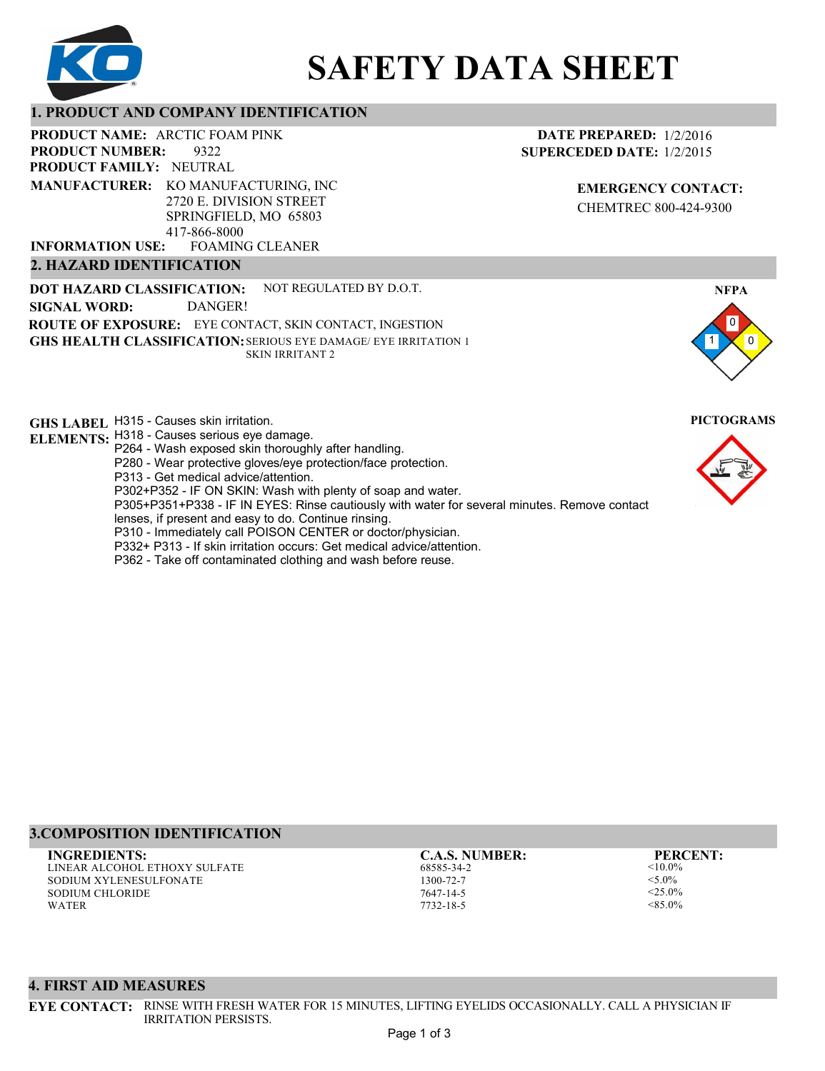

# **SAFETY DATA SHEET**

## **1. PRODUCT AND COMPANY IDENTIFICATION**

**PRODUCT NAME: ARCTIC FOAM PINK** 

9322 **PRODUCT FAMILY: NEUTRAL PRODUCT NUMBER:**

**MANUFACTURER:** KO MANUFACTURING, INC 2720 E. DIVISION STREET SPRINGFIELD, MO 65803 417-866-8000

FOAMING CLEANER **INFORMATION USE:**

## **2. HAZARD IDENTIFICATION**

**DOT HAZARD CLASSIFICATION: GHS HEALTH CLASSIFICATION:** SERIOUS EYE DAMAGE/ EYE IRRITATION 1 **ROUTE OF EXPOSURE:** EYE CONTACT, SKIN CONTACT, INGESTION NOT REGULATED BY D.O.T. SKIN IRRITANT 2 **SIGNAL WORD:** DANGER!

**GHS LABEL**  H315 - Causes skin irritation. **PICTOGRAMS**

- **ELEMENTS:** H318 Causes serious eye damage. P264 - Wash exposed skin thoroughly after handling.
	- P280 Wear protective gloves/eye protection/face protection.
	- P313 Get medical advice/attention.
	- P302+P352 IF ON SKIN: Wash with plenty of soap and water.

P305+P351+P338 - IF IN EYES: Rinse cautiously with water for several minutes. Remove contact

- lenses, if present and easy to do. Continue rinsing.
- P310 Immediately call POISON CENTER or doctor/physician. P332+ P313 - If skin irritation occurs: Get medical advice/attention.
- 
- P362 Take off contaminated clothing and wash before reuse.

## **DATE PREPARED:** 1/2/2016 **SUPERCEDED DATE:** 1/2/2015

**EMERGENCY CONTACT:** CHEMTREC 800-424-9300





## **3.COMPOSITION IDENTIFICATION**

LINEAR ALCOHOL ETHOXY SULFATE SODIUM XYLENESULFONATE SODIUM CHLORIDE WATER **INGREDIENTS: C.A.S. NUMBER: PERCENT:**

68585-34-2 1300-72-7 7647-14-5 7732-18-5

 $< 10.0\%$  $<$  5.0%  $<$ 25.0%  $< 85.0\%$ 

## **4. FIRST AID MEASURES**

**EYE CONTACT:** RINSE WITH FRESH WATER FOR 15 MINUTES, LIFTING EYELIDS OCCASIONALLY. CALL A PHYSICIAN IF IRRITATION PERSISTS.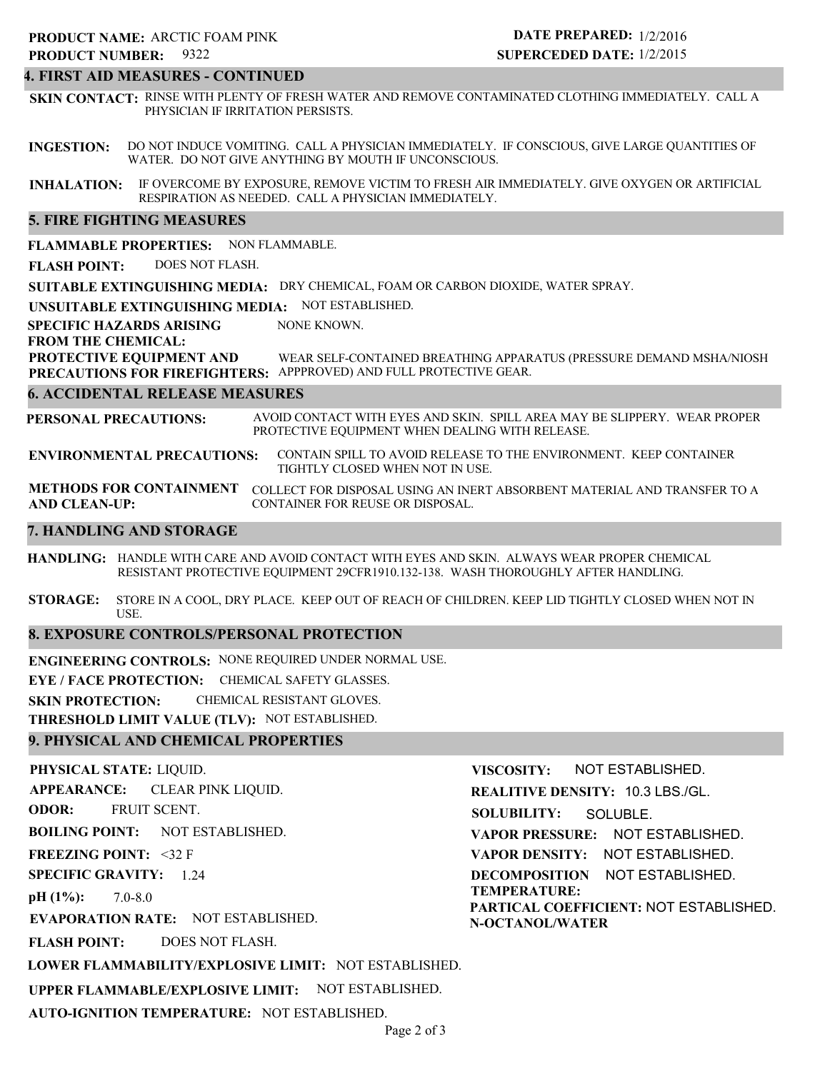## **4. FIRST AID MEASURES - CONTINUED**

**SKIN CONTACT:** RINSE WITH PLENTY OF FRESH WATER AND REMOVE CONTAMINATED CLOTHING IMMEDIATELY. CALL A PHYSICIAN IF IRRITATION PERSISTS.

**INGESTION:** DO NOT INDUCE VOMITING. CALL A PHYSICIAN IMMEDIATELY. IF CONSCIOUS, GIVE LARGE QUANTITIES OF WATER. DO NOT GIVE ANYTHING BY MOUTH IF UNCONSCIOUS.

**INHALATION:** IF OVERCOME BY EXPOSURE, REMOVE VICTIM TO FRESH AIR IMMEDIATELY. GIVE OXYGEN OR ARTIFICIAL RESPIRATION AS NEEDED. CALL A PHYSICIAN IMMEDIATELY.

## **5. FIRE FIGHTING MEASURES**

**FLAMMABLE PROPERTIES:** NON FLAMMABLE.

**FLASH POINT:** DOES NOT FLASH.

**SUITABLE EXTINGUISHING MEDIA:** DRY CHEMICAL, FOAM OR CARBON DIOXIDE, WATER SPRAY.

**UNSUITABLE EXTINGUISHING MEDIA:** NOT ESTABLISHED.

**SPECIFIC HAZARDS ARISING** NONE KNOWN.

**FROM THE CHEMICAL:**

**PROTECTIVE EQUIPMENT AND PRECAUTIONS FOR FIREFIGHTERS:** APPPROVED) AND FULL PROTECTIVE GEAR. WEAR SELF-CONTAINED BREATHING APPARATUS (PRESSURE DEMAND MSHA/NIOSH

## **6. ACCIDENTAL RELEASE MEASURES**

**PERSONAL PRECAUTIONS:** AVOID CONTACT WITH EYES AND SKIN. SPILL AREA MAY BE SLIPPERY. WEAR PROPER PROTECTIVE EQUIPMENT WHEN DEALING WITH RELEASE.

**ENVIRONMENTAL PRECAUTIONS:** CONTAIN SPILL TO AVOID RELEASE TO THE ENVIRONMENT. KEEP CONTAINER TIGHTLY CLOSED WHEN NOT IN USE.

**METHODS FOR CONTAINMENT** COLLECT FOR DISPOSAL USING AN INERT ABSORBENT MATERIAL AND TRANSFER TO A **AND CLEAN-UP:** CONTAINER FOR REUSE OR DISPOSAL.

## **7. HANDLING AND STORAGE**

**HANDLING:** HANDLE WITH CARE AND AVOID CONTACT WITH EYES AND SKIN. ALWAYS WEAR PROPER CHEMICAL RESISTANT PROTECTIVE EQUIPMENT 29CFR1910.132-138. WASH THOROUGHLY AFTER HANDLING.

**STORAGE:** STORE IN A COOL, DRY PLACE. KEEP OUT OF REACH OF CHILDREN. KEEP LID TIGHTLY CLOSED WHEN NOT IN USE.

## **8. EXPOSURE CONTROLS/PERSONAL PROTECTION**

**ENGINEERING CONTROLS:** NONE REQUIRED UNDER NORMAL USE.

**EYE / FACE PROTECTION:** CHEMICAL SAFETY GLASSES.

**SKIN PROTECTION:** CHEMICAL RESISTANT GLOVES.

**THRESHOLD LIMIT VALUE (TLV):** NOT ESTABLISHED.

## **9. PHYSICAL AND CHEMICAL PROPERTIES**

**PHYSICAL STATE:** LIQUID. **APPEARANCE: ODOR: BOILING POINT:** NOT ESTABLISHED. **FREEZING POINT:** <32 F **SPECIFIC GRAVITY:** 1.24 **pH (1%): EVAPORATION RATE:** NOT ESTABLISHED. **FLASH POINT: LOWER FLAMMABILITY/EXPLOSIVE LIMIT:** NOT ESTABLISHED. **UPPER FLAMMABLE/EXPLOSIVE LIMIT:** NOT ESTABLISHED. 7.0-8.0 DOES NOT FLASH. CLEAR PINK LIQUID. FRUIT SCENT. **VISCOSITY: REALITIVE DENSITY:** 10.3 LBS./GL. **SOLUBILITY: VAPOR PRESSURE:** NOT ESTABLISHED. **VAPOR DENSITY:** NOT ESTABLISHED. **DECOMPOSITION** NOT ESTABLISHED. **TEMPERATURE: PARTICAL COEFFICIENT:** NOT ESTABLISHED. **N-OCTANOL/WATER** NOT ESTABLISHED. SOLUBLE.

**AUTO-IGNITION TEMPERATURE:** NOT ESTABLISHED.